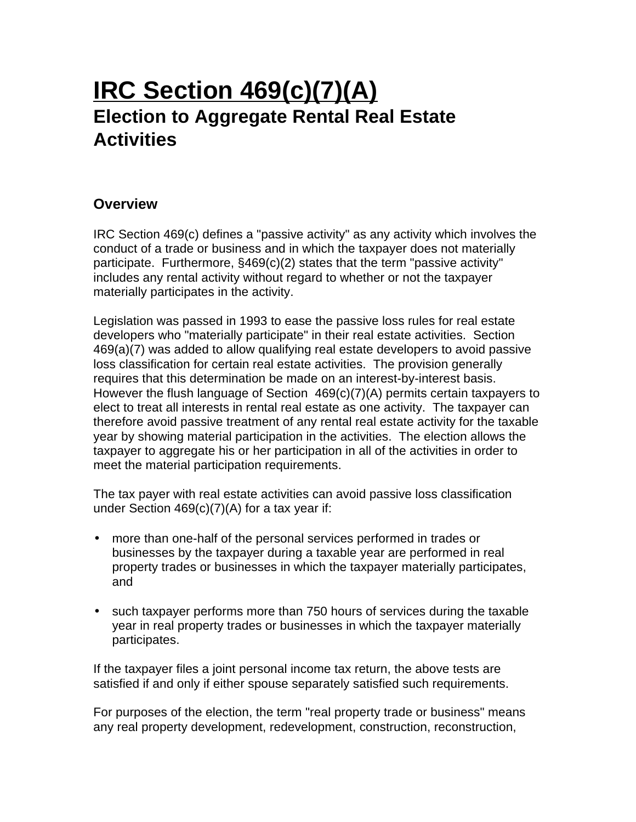# **IRC Section 469(c)(7)(A) Election to Aggregate Rental Real Estate Activities**

## **Overview**

IRC Section 469(c) defines a "passive activity" as any activity which involves the conduct of a trade or business and in which the taxpayer does not materially participate. Furthermore, §469(c)(2) states that the term "passive activity" includes any rental activity without regard to whether or not the taxpayer materially participates in the activity.

Legislation was passed in 1993 to ease the passive loss rules for real estate developers who "materially participate" in their real estate activities. Section 469(a)(7) was added to allow qualifying real estate developers to avoid passive loss classification for certain real estate activities. The provision generally requires that this determination be made on an interest-by-interest basis. However the flush language of Section 469(c)(7)(A) permits certain taxpayers to elect to treat all interests in rental real estate as one activity. The taxpayer can therefore avoid passive treatment of any rental real estate activity for the taxable year by showing material participation in the activities. The election allows the taxpayer to aggregate his or her participation in all of the activities in order to meet the material participation requirements.

The tax payer with real estate activities can avoid passive loss classification under Section 469(c)(7)(A) for a tax year if:

- more than one-half of the personal services performed in trades or businesses by the taxpayer during a taxable year are performed in real property trades or businesses in which the taxpayer materially participates, and
- such taxpayer performs more than 750 hours of services during the taxable year in real property trades or businesses in which the taxpayer materially participates.

If the taxpayer files a joint personal income tax return, the above tests are satisfied if and only if either spouse separately satisfied such requirements.

For purposes of the election, the term "real property trade or business" means any real property development, redevelopment, construction, reconstruction,